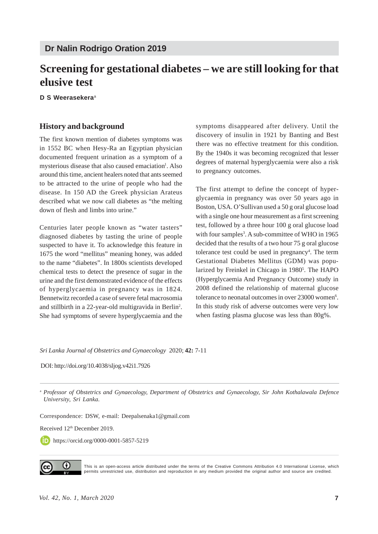# **Screening for gestational diabetes – we are still looking for that elusive test**

**D S Weerasekera**<sup>a</sup>

#### **History and background**

The first known mention of diabetes symptoms was in 1552 BC when Hesy-Ra an Egyptian physician documented frequent urination as a symptom of a mysterious disease that also caused emaciation<sup>1</sup>. Also around this time, ancient healers noted that ants seemed to be attracted to the urine of people who had the disease. In 150 AD the Greek physician Arateus described what we now call diabetes as "the melting down of flesh and limbs into urine."

Centuries later people known as "water tasters" diagnosed diabetes by tasting the urine of people suspected to have it. To acknowledge this feature in 1675 the word "mellitus" meaning honey, was added to the name "diabetes". In 1800s scientists developed chemical tests to detect the presence of sugar in the urine and the first demonstrated evidence of the effects of hyperglycaemia in pregnancy was in 1824. Bennetwitz recorded a case of severe fetal macrosomia and stillbirth in a 22-year-old multigravida in Berlin<sup>2</sup>. She had symptoms of severe hyperglycaemia and the symptoms disappeared after delivery. Until the discovery of insulin in 1921 by Banting and Best there was no effective treatment for this condition. By the 1940s it was becoming recognized that lesser degrees of maternal hyperglycaemia were also a risk to pregnancy outcomes.

The first attempt to define the concept of hyperglycaemia in pregnancy was over 50 years ago in Boston, USA. O'Sullivan used a 50 g oral glucose load with a single one hour measurement as a first screening test, followed by a three hour 100 g oral glucose load with four samples<sup>3</sup>. A sub-committee of WHO in 1965 decided that the results of a two hour 75 g oral glucose tolerance test could be used in pregnancy<sup>4</sup>. The term Gestational Diabetes Mellitus (GDM) was popularized by Freinkel in Chicago in 1980<sup>5</sup>. The HAPO (Hyperglycaemia And Pregnancy Outcome) study in 2008 defined the relationship of maternal glucose tolerance to neonatal outcomes in over 23000 women<sup>6</sup>. In this study risk of adverse outcomes were very low when fasting plasma glucose was less than 80g%.

*Sri Lanka Journal of Obstetrics and Gynaecology* 2020; **42:** 7-11

DOI: http://doi.org/10.4038/sljog.v42i1.7926

<sup>a</sup> *Professor of Obstetrics and Gynaecology, Department of Obstetrics and Gynaecology, Sir John Kothalawala Defence University, Sri Lanka.*

Correspondence: DSW, e-mail: Deepalsenaka1@gmail.com

Received 12th December 2019.

https://orcid.org/0000-0001-5857-5219



This is an open-access article distributed under the terms of the Creative Commons Attribution 4.0 International License, which permits unrestricted use, distribution and reproduction in any medium provided the original author and source are credited.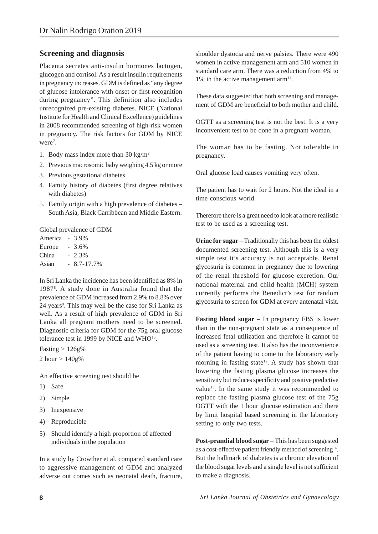### **Screening and diagnosis**

Placenta secretes anti-insulin hormones lactogen, glucogen and cortisol. As a result insulin requirements in pregnancy increases. GDM is defined as "any degree of glucose intolerance with onset or first recognition during pregnancy". This definition also includes unrecognized pre-existing diabetes. NICE (National Institute for Health and Clinical Excellence) guidelines in 2008 recommended screening of high-risk women in pregnancy. The risk factors for GDM by NICE were<sup>7</sup>.

- 1. Body mass index more than 30 kg/m2
- 2. Previous macrosomic baby weighing 4.5 kg or more
- 3. Previous gestational diabetes
- 4. Family history of diabetes (first degree relatives with diabetes)
- 5. Family origin with a high prevalence of diabetes South Asia, Black Carribbean and Middle Eastern.

Global prevalence of GDM

| America - |                | 3.9%      |
|-----------|----------------|-----------|
| Europe    | $\overline{a}$ | 3.6%      |
| China     |                | $-2.3\%$  |
| Asian     | $\overline{a}$ | 8.7-17.7% |

In Sri Lanka the incidence has been identified as 8% in 19878 . A study done in Australia found that the prevalence of GDM increased from 2.9% to 8.8% over 24 years<sup>9</sup>. This may well be the case for Sri Lanka as well. As a result of high prevalence of GDM in Sri Lanka all pregnant mothers need to be screened. Diagnostic criteria for GDM for the 75g oral glucose tolerance test in 1999 by NICE and WHO<sup>10</sup>.

Fasting  $> 126g\%$ 2 hour  $> 140g%$ 

An effective screening test should be

- 1) Safe
- 2) Simple
- 3) Inexpensive
- 4) Reproducible
- 5) Should identify a high proportion of affected individuals in the population

In a study by Crowther et al. compared standard care to aggressive management of GDM and analyzed adverse out comes such as neonatal death, fracture, shoulder dystocia and nerve palsies. There were 490 women in active management arm and 510 women in standard care arm. There was a reduction from 4% to 1% in the active management  $arm<sup>11</sup>$ .

These data suggested that both screening and management of GDM are beneficial to both mother and child.

OGTT as a screening test is not the best. It is a very inconvenient test to be done in a pregnant woman.

The woman has to be fasting. Not tolerable in pregnancy.

Oral glucose load causes vomiting very often.

The patient has to wait for 2 hours. Not the ideal in a time conscious world.

Therefore there is a great need to look at a more realistic test to be used as a screening test.

Urine for sugar – Traditionally this has been the oldest documented screening test. Although this is a very simple test it's accuracy is not acceptable. Renal glycosuria is common in pregnancy due to lowering of the renal threshold for glucose excretion. Our national maternal and child health (MCH) system currently performs the Benedict's test for random glycosuria to screen for GDM at every antenatal visit.

**Fasting blood sugar** – In pregnancy FBS is lower than in the non-pregnant state as a consequence of increased fetal utilization and therefore it cannot be used as a screening test. It also has the inconvenience of the patient having to come to the laboratory early morning in fasting state<sup>12</sup>. A study has shown that lowering the fasting plasma glucose increases the sensitivity but reduces specificity and positive predictive value<sup>13</sup>. In the same study it was recommended to replace the fasting plasma glucose test of the 75g OGTT with the 1 hour glucose estimation and there by limit hospital based screening in the laboratory setting to only two tests.

**Post-prandial blood sugar** – This has been suggested as a cost-effective patient friendly method of screening<sup>14</sup>. But the hallmark of diabetes is a chronic elevation of the blood sugar levels and a single level is not sufficient to make a diagnosis.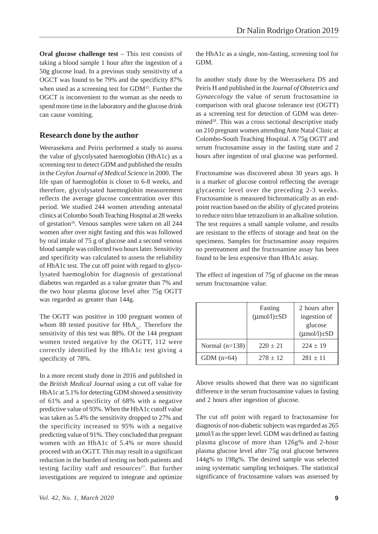**Oral glucose challenge test** – This test consists of taking a blood sample 1 hour after the ingestion of a 50g glucose load. In a previous study sensitivity of a OGCT was found to be 79% and the specificity 87% when used as a screening test for GDM15. Further the OGCT is inconvenient to the woman as she needs to spend more time in the laboratory and the glucose drink can cause vomiting.

#### **Research done by the author**

Weerasekera and Peiris performed a study to assess the value of glycolysated haemoglobin (HbA1c) as a screening test to detect GDM and published the results in the *Ceylon Journal of Medical Science* in 2000. The life span of haemoglobin is closer to 6-8 weeks, and therefore, glycolysated haemoglobin measurement reflects the average glucose concentration over this period. We studied 244 women attending antenatal clinics at Colombo South Teaching Hospital at 28 weeks of gestation<sup>16</sup>. Venous samples were taken on all 244 women after over night fasting and this was followed by oral intake of 75 g of glucose and a second venous blood sample was collected two hours later. Sensitivity and specificity was calculated to assess the reliability of HbA1c test. The cut off point with regard to glycolysated haemoglobin for diagnosis of gestational diabetes was regarded as a value greater than 7% and the two hour plasma glucose level after 75g OGTT was regarded as greater than 144g.

The OGTT was positive in 100 pregnant women of whom 88 tested positive for  $HbA_{1c}$ . Therefore the sensitivity of this test was 88%. Of the 144 pregnant women tested negative by the OGTT, 112 were correctly identified by the HbA1c test giving a specificity of 78%.

In a more recent study done in 2016 and published in the *British Medical Journal* using a cut off value for HbA1c at 5.1% for detecting GDM showed a sensitivity of 61% and a specificity of 68% with a negative predictive value of 93%. When the HbA1c cutoff value was taken as 5.4% the sensitivity dropped to 27% and the specificity increased to 95% with a negative predicting value of 91%. They concluded that pregnant women with an HbA1c of 5.4% or more should proceed with an OGTT. This may result in a significant reduction in the burden of testing on both patients and testing facility staff and resources<sup>17</sup>. But further investigations are required to integrate and optimize

the HbA1c as a single, non-fasting, screening tool for GDM.

In another study done by the Weerasekera DS and Peiris H and published in the *Journal of Obstetrics and Gynaecology* the value of serum fructosamine in comparison with oral glucose tolerance test (OGTT) as a screening test for detection of GDM was determined<sup>18</sup>. This was a cross sectional descriptive study on 210 pregnant women attending Ante Natal Clinic at Colombo-South Teaching Hospital. A 75g OGTT and serum fructosamine assay in the fasting state and 2 hours after ingestion of oral glucose was performed.

Fructosamine was discovered about 30 years ago. It is a marker of glucose control reflecting the average glycaemic level over the preceding 2-3 weeks. Fructosamine is measured bichromatically as an endpoint reaction based on the ability of glycated proteins to reduce nitro blue tetrazolium in an alkaline solution. The test requires a small sample volume, and results are resistant to the effects of storage and heat on the specimens. Samples for fructosamine assay requires no pretreatment and the fructosamine assay has been found to be less expensive than HbA1c assay.

The effect of ingestion of 75g of glucose on the mean serum fructosamine value.

|                  | Fasting<br>$(\mu \text{mol/l}) \pm SD$ | 2 hours after<br>ingestion of     |
|------------------|----------------------------------------|-----------------------------------|
|                  |                                        | glucose<br>$(\mu$ mol/l $)\pm SD$ |
| Normal $(n=138)$ | $220 \pm 21$                           | $224 \pm 19$                      |
| GDM $(n=64)$     | $278 \pm 12$                           | $281 \pm 11$                      |

Above results showed that there was no significant difference in the serum fructosamine values in fasting and 2 hours after ingestion of glucose.

The cut off point with regard to fractosamine for diagnosis of non-diabetic subjects was regarded as 265 μmol/l as the upper level. GDM was defined as fasting plasma glucose of more than 126g% and 2-hour plasma glucose level after 75g oral glucose between 144g% to 198g%. The desired sample was selected using systematic sampling techniques. The statistical significance of fructosamine values was assessed by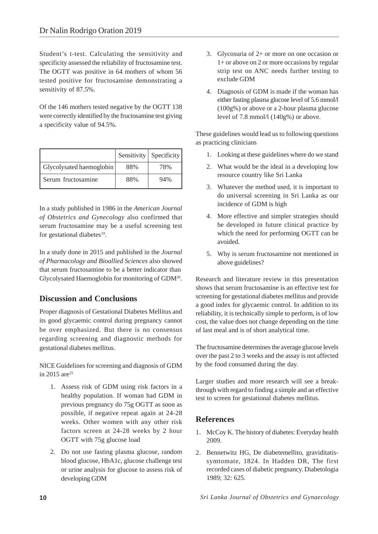Student's t-test. Calculating the sensitivity and specificity assessed the reliability of fructosamine test. The OGTT was positive in 64 mothers of whom 56 tested positive for fructosamine demonstrating a sensitivity of 87.5%.

Of the 146 mothers tested negative by the OGTT 138 were correctly identified by the fructosamine test giving a specificity value of 94.5%.

|                          |     | Sensitivity   Specificity |
|--------------------------|-----|---------------------------|
| Glycolysated haemoglobin | 88% | 78%                       |
| Serum fructosamine       | 88% | 94%                       |

In a study published in 1986 in the *American Journal of Obstetrics and Gynecology* also confirmed that serum fructosamine may be a useful screening test for gestational diabetes<sup>19</sup>.

In a study done in 2015 and published in the *Journal of Pharmacology and Bioallied Sciences* also showed that serum fructosamine to be a better indicator than Glycolysated Haemoglobin for monitoring of GDM20.

## **Discussion and Conclusions**

Proper diagnosis of Gestational Diabetes Mellitus and its good glycaemic control during pregnancy cannot be over emphasized. But there is no consensus regarding screening and diagnostic methods for gestational diabetes mellitus.

NICE Guidelines for screening and diagnosis of GDM in 2015 are21

- 1. Assess risk of GDM using risk factors in a healthy population. If woman had GDM in previous pregnancy do 75g OGTT as soon as possible, if negative repeat again at 24-28 weeks. Other women with any other risk factors screen at 24-28 weeks by 2 hour OGTT with 75g glucose load
- 2. Do not use fasting plasma glucose, random blood glucose, HbA1c, glucose challenge test or urine analysis for glucose to assess risk of developing GDM
- 3. Glycosuria of 2+ or more on one occasion or 1+ or above on 2 or more occasions by regular strip test on ANC needs further testing to exclude GDM
- 4. Diagnosis of GDM is made if the woman has either fasting plasma glucose level of 5.6 mmol/l (100g%) or above or a 2-hour plasma glucose level of 7.8 mmol/l (140g%) or above.

These guidelines would lead us to following questions as practicing clinicians

- 1. Looking at these guidelines where do we stand
- 2. What would be the ideal in a developing low resource country like Sri Lanka
- 3. Whatever the method used, it is important to do universal screening in Sri Lanka as our incidence of GDM is high
- 4. More effective and simpler strategies should be developed in future clinical practice by which the need for performing OGTT can be avoided.
- 5. Why is serum fructosamine not mentioned in above guidelines?

Research and literature review in this presentation shows that serum fructosamine is an effective test for screening for gestational diabetes mellitus and provide a good index for glycaemic control. In addition to its reliability, it is technically simple to perform, is of low cost, the value does not change depending on the time of last meal and is of short analytical time.

The fructosamine determines the average glucose levels over the past 2 to 3 weeks and the assay is not affected by the food consumed during the day.

Larger studies and more research will see a breakthrough with regard to finding a simple and an effective test to screen for gestational diabetes mellitus.

# **References**

- 1. McCoy K. The history of diabetes: Everyday health 2009.
- 2. Bennetwitz HG, De diabetemellito, graviditatissymtomate, 1824. In Hadden DR, The first recorded cases of diabetic pregnancy. Diabetologia 1989; 32: 625.